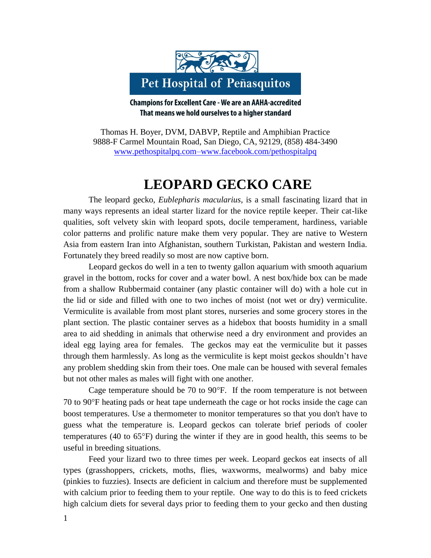

**Champions for Excellent Care - We are an AAHA-accredited** That means we hold ourselves to a higher standard

Thomas H. Boyer, DVM, DABVP, Reptile and Amphibian Practice 9888-F Carmel Mountain Road, San Diego, CA, 92129, (858) 484-3490 [www.pethospitalpq.com–www.facebook.com/pethospitalpq](http://www.pethospitalpq.com–www.facebook.com/pethospitalpq)

## **LEOPARD GECKO CARE**

The leopard gecko, *Eublepharis macularius*, is a small fascinating lizard that in many ways represents an ideal starter lizard for the novice reptile keeper. Their cat-like qualities, soft velvety skin with leopard spots, docile temperament, hardiness, variable color patterns and prolific nature make them very popular. They are native to Western Asia from eastern Iran into Afghanistan, southern Turkistan, Pakistan and western India. Fortunately they breed readily so most are now captive born.

Leopard geckos do well in a ten to twenty gallon aquarium with smooth aquarium gravel in the bottom, rocks for cover and a water bowl. A nest box/hide box can be made from a shallow Rubbermaid container (any plastic container will do) with a hole cut in the lid or side and filled with one to two inches of moist (not wet or dry) vermiculite. Vermiculite is available from most plant stores, nurseries and some grocery stores in the plant section. The plastic container serves as a hidebox that boosts humidity in a small area to aid shedding in animals that otherwise need a dry environment and provides an ideal egg laying area for females. The geckos may eat the vermiculite but it passes through them harmlessly. As long as the vermiculite is kept moist geckos shouldn't have any problem shedding skin from their toes. One male can be housed with several females but not other males as males will fight with one another.

Cage temperature should be  $70$  to  $90^{\circ}$ F. If the room temperature is not between 70 to 90F heating pads or heat tape underneath the cage or hot rocks inside the cage can boost temperatures. Use a thermometer to monitor temperatures so that you don't have to guess what the temperature is. Leopard geckos can tolerate brief periods of cooler temperatures (40 to  $65^{\circ}$ F) during the winter if they are in good health, this seems to be useful in breeding situations.

Feed your lizard two to three times per week. Leopard geckos eat insects of all types (grasshoppers, crickets, moths, flies, waxworms, mealworms) and baby mice (pinkies to fuzzies). Insects are deficient in calcium and therefore must be supplemented with calcium prior to feeding them to your reptile. One way to do this is to feed crickets high calcium diets for several days prior to feeding them to your gecko and then dusting